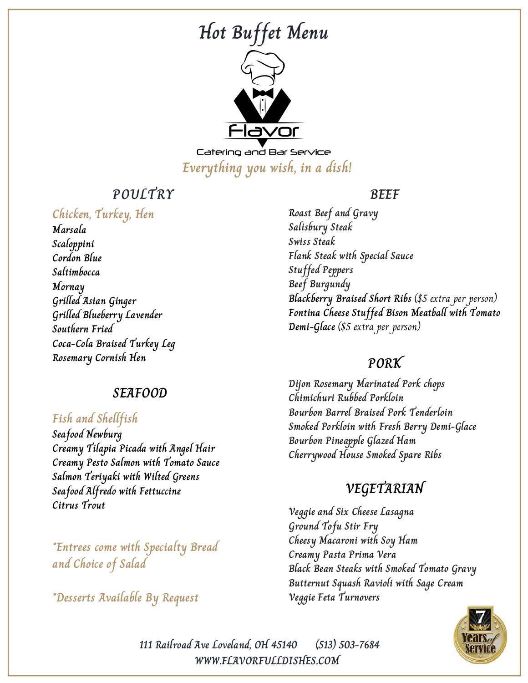# **Hot Buffet Menu**



Catering and Bar Service **Everything you wish, in a dish!**

## **POULTRY**

#### **Chicken, Turkey, Hen**

**Marsala Scaloppini Cordon Blue Saltimbocca Mornay Grilled Asian Ginger Grilled Blueberry Lavender Southern Fried Coca-Cola Braised Turkey Leg Rosemary Cornish Hen**

#### **SEAFOOD**

#### **Fish and Shellfish**

**Seafood Newburg Creamy Tilapia Picada with Angel Hair Creamy Pesto Salmon with Tomato Sauce Salmon Teriyaki with Wilted Greens Seafood Alfredo with Fettuccine Citrus Trout**

**\*Entrees come with Specialty Bread and Choice of Salad**

**\*Desserts Available By Request**

#### **BEEF**

**Roast Beef and Gravy Salisbury Steak Swiss Steak Flank Steak with Special Sauce Stuffed Peppers Beef Burgundy Blackberry Braised Short Ribs** (\$5 extra per person) **Fontina Cheese Stuffed Bison Meatball with Tomato Demi-Glace** (\$5 extra per person)

#### **PORK**

**Dijon Rosemary Marinated Pork chops Chimichuri Rubbed Porkloin Bourbon Barrel Braised Pork Tenderloin Smoked Porkloin with Fresh Berry Demi-Glace Bourbon Pineapple Glazed Ham Cherrywood House Smoked Spare Ribs**

## **VEGETARIAN**

**Veggie and Six Cheese Lasagna Ground Tofu Stir Fry Cheesy Macaroni with Soy Ham Creamy Pasta Prima Vera Black Bean Steaks with Smoked Tomato Gravy Butternut Squash Ravioli with Sage Cream Veggie Feta Turnovers**



**WWW.FLAVORFULLDISHES.COM 111 Railroad Ave Loveland, OH 45140 (513) 503-7684**